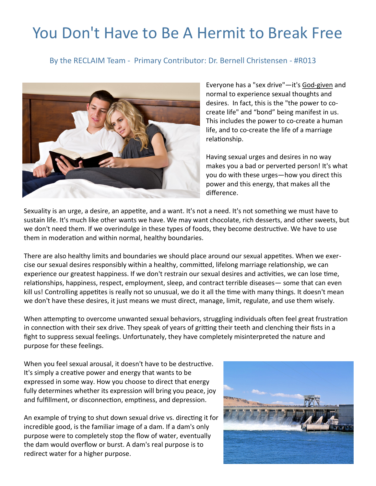## You Don't Have to Be A Hermit to Break Free

By the RECLAIM Team - Primary Contributor: Dr. Bernell Christensen - #R013



Everyone has a "sex drive"—it's God-[given](https://reclaimsexualhealth.com/Definitions-of-Sexuality/god-s-plan-for-sexual-health.html) and normal to experience sexual thoughts and desires. In fact, this is the "the power to cocreate life" and "bond" being manifest in us. This includes the power to co-create a human life, and to co-create the life of a marriage relationship.

Having sexual urges and desires in no way makes you a bad or perverted person! It's what you do with these urges—how you direct this power and this energy, that makes all the difference.

Sexuality is an urge, a desire, an appetite, and a want. It's not a need. It's not something we must have to sustain life. It's much like other wants we have. We may want chocolate, rich desserts, and other sweets, but we don't need them. If we overindulge in these types of foods, they become destructive. We have to use them in moderation and within normal, healthy boundaries.

There are also healthy limits and boundaries we should place around our sexual appetites. When we exercise our sexual desires responsibly within a healthy, committed, lifelong marriage relationship, we can experience our greatest happiness. If we don't restrain our sexual desires and activities, we can lose time, relationships, happiness, respect, employment, sleep, and contract terrible diseases— some that can even kill us! Controlling appetites is really not so unusual, we do it all the time with many things. It doesn't mean we don't have these desires, it just means we must direct, manage, limit, regulate, and use them wisely.

When attempting to overcome unwanted sexual behaviors, struggling individuals often feel great frustration in connection with their sex drive. They speak of years of gritting their teeth and clenching their fists in a fight to suppress sexual feelings. Unfortunately, they have completely misinterpreted the nature and purpose for these feelings.

When you feel sexual arousal, it doesn't have to be destructive. It's simply a creative power and energy that wants to be expressed in some way. How you choose to direct that energy fully determines whether its expression will bring you peace, joy and fulfillment, or disconnection, emptiness, and depression.

An example of trying to shut down sexual drive vs. directing it for incredible good, is the familiar image of a dam. If a dam's only purpose were to completely stop the flow of water, eventually the dam would overflow or burst. A dam's real purpose is to redirect water for a higher purpose.